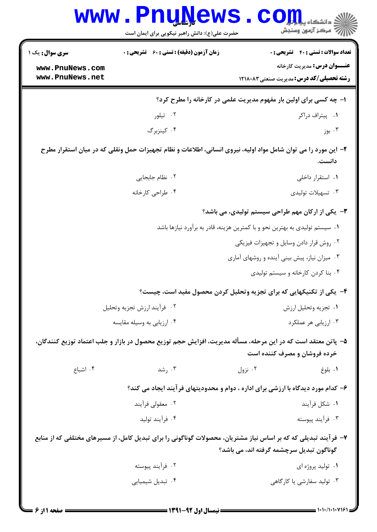| <b>WWW</b>                         | <b>Lufilema</b><br>حضرت علی(ع): دانش راهبر نیکویی برای ایمان است                                                |                                              | دانشکاه پی <mark>ا با با</mark> ر<br>رِ ۖ مرڪز آزمون وسنڊش                              |
|------------------------------------|-----------------------------------------------------------------------------------------------------------------|----------------------------------------------|-----------------------------------------------------------------------------------------|
| <b>سری سوال :</b> یک ۱             | <b>زمان آزمون (دقیقه) : تستی : 60 ٪ تشریحی : 0</b>                                                              |                                              | <b>تعداد سوالات : تستي : 40 ٪ تشریحي : 0</b>                                            |
| www.PnuNews.com<br>www.PnuNews.net |                                                                                                                 |                                              | <b>عنــــوان درس:</b> مدیریت کارخانه<br><b>رشته تحصیلی/کد درس:</b> مدیریت صنعتی ۱۲۱۸۰۸۳ |
|                                    | ۱- چه کسی برای اولین بار مفهوم مدیریت علمی در کارخانه را مطرح کرد؟                                              |                                              |                                                                                         |
|                                    | ۰۲ تیلور                                                                                                        |                                              | ۰۱ پیتراف دراکر                                                                         |
|                                    | ۰۴ کینزبرگ                                                                                                      |                                              | ۰۳ بوز                                                                                  |
|                                    | ۲– این مورد را می توان شامل مواد اولیه، نیروی انسانی، اطلاعات و نظام تجهیزات حمل ونقلی که در میان استقرار مطرح  |                                              | دانست.                                                                                  |
|                                    | ٢. نظام جابجايى                                                                                                 |                                              | ۰۱ استقرار داخلی                                                                        |
|                                    | ۰۴ طراحی کارخانه                                                                                                |                                              | ۰۳ تسهیلات تولیدی                                                                       |
|                                    |                                                                                                                 |                                              | ۳- یکی از ارکان مهم طراحی سیستم تولیدی، می باشد؟                                        |
|                                    | ۰۱ سیستم تولیدی به بهترین نحو و با کمترین هزینه، قادر به برآورد نیازها باشد                                     |                                              |                                                                                         |
|                                    |                                                                                                                 |                                              | ٠٢ روش قرار دادن وسايل و تجهيزات فيزيكي                                                 |
|                                    |                                                                                                                 | ۰۳ میزان نیاز، پیش بینی آینده و روشهای آماری |                                                                                         |
|                                    |                                                                                                                 |                                              | ۰۴ بنا کردن کارخانه و سیستم تولیدی                                                      |
|                                    | ۴- یکی از تکنیکهایی که برای تجزیه وتحلیل کردن محصول مفید است، چیست؟                                             |                                              |                                                                                         |
|                                    | ٠٢ فرأيند ارزش تجزيه وتحليل                                                                                     |                                              | ٠١ تجزيه وتحليل ارزش                                                                    |
|                                    | ۰۴ ارزیابی به وسیله مقایسه                                                                                      |                                              | ۰۳ ارزیابی هر عملکرد                                                                    |
|                                    | ۵–  پاتن معتقد است که در این مرحله، مسأله مدیریت، افزایش حجم توزیع محصول در بازار و جلب اعتماد توزیع کنندگان،   |                                              | خرده فروشان و مصرف کننده است                                                            |
| ۰۴ اشباع                           | ۰۳ رشد                                                                                                          | ۰۲ نزول                                      | ۰۱ بلوغ                                                                                 |
|                                    | ۶– کدام مورد دیدگاه با ارزشی برای اداره ، دوام و محدودیتهای فرآیند ایجاد می کند؟                                |                                              |                                                                                         |
|                                    | ۰۲ معقولی فرآیند                                                                                                |                                              | ۰۱ شکل فرآیند                                                                           |
|                                    | ۰۴ فرآیند تولید                                                                                                 |                                              | ۰۳ فرآیند پیوسته                                                                        |
|                                    | ۷– فرآیند تبدیلی که که بر اساس نیاز مشتریان، محصولات گوناگونی را برای تبدیل کامل، از مسیرهای مختلفی که از منابع |                                              |                                                                                         |
|                                    |                                                                                                                 | گوناگون تبدیل سرچشمه گرفته اند، می باشد؟     |                                                                                         |
|                                    | ۰۲ فرآیند پیوسته                                                                                                |                                              | ۰۱ تولید پروژه ای                                                                       |
|                                    | ۰۴ تبدیل شیمیایی                                                                                                |                                              | ۰۳ تولید سفارشی یا کارگاهی                                                              |
|                                    |                                                                                                                 |                                              |                                                                                         |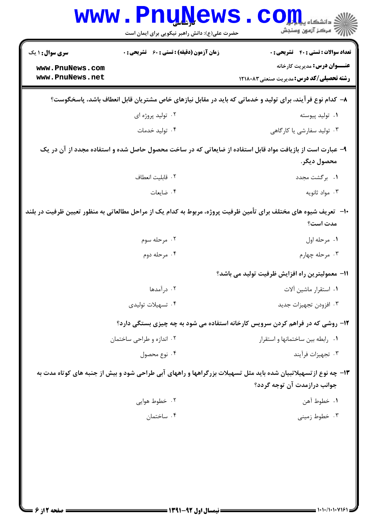|                                    | <b>WWW.PnuWews</b><br>حضرت علی(ع): دانش راهبر نیکویی برای ایمان است | $\mathbf{COJL}$ .<br>ر آمرڪز آزمون وسنڊش                                                                                                      |
|------------------------------------|---------------------------------------------------------------------|-----------------------------------------------------------------------------------------------------------------------------------------------|
| <b>سری سوال : ۱ یک</b>             | <b>زمان آزمون (دقیقه) : تستی : 60 ٪ تشریحی : 0</b>                  | <b>تعداد سوالات : تستي : 40 - تشريحي : 0</b><br><b>عنـــوان درس:</b> مدیریت کارخانه                                                           |
| www.PnuNews.com<br>www.PnuNews.net |                                                                     | <b>رشته تحصیلی/کد درس:</b> مدیریت صنعتی ۱۲۱۸۰۸۳                                                                                               |
|                                    |                                                                     | ۸– کدام نوع فر آیند، برای تولید و خدماتی که باید در مقابل نیازهای خاص مشتریان قابل انعطاف باشد، پاسخگوست؟                                     |
|                                    | ۰۲ تولید پروژه ای                                                   | ۰۱ تولید پیوسته                                                                                                                               |
|                                    | ۰۴ تولید خدمات                                                      | ۰۳ تولید سفارشی یا کارگاهی                                                                                                                    |
|                                    |                                                                     | ۹- عبارت است از بازیافت مواد قابل استفاده از ضایعاتی که در ساخت محصول حاصل شده و استفاده مجدد از آن در یک<br>محصول ديگر.                      |
|                                    | ٠٢ قابليت انعطاف                                                    | ۰۱ برگشت مجدد                                                                                                                                 |
|                                    | ۰۴ ضایعات                                                           | ۰۳ مواد ثانویه                                                                                                                                |
|                                    |                                                                     | ∙ا− تعریف شیوه های مختلف برای تأمین ظرفیت پروژه، مربوط به کدام یک از مراحل مطالعاتی به منظور تعیین ظرفیت در بلند<br>مدت است؟                  |
|                                    | ۰۲ مرحله سوم                                                        | ۰۱ مرحله اول                                                                                                                                  |
|                                    | ۰۴ مرحله دوم                                                        | ۰۳ مرحله چهارم                                                                                                                                |
|                                    |                                                                     | 11– معمولیترین راه افزایش ظرفیت تولید می باشد؟                                                                                                |
|                                    | ۰۲ درآمدها                                                          | ٠١ استقرار ماشين آلات                                                                                                                         |
|                                    | ۰۴ تسهیلات تولیدی                                                   | ۰۳ افزودن تجهيزات جديد                                                                                                                        |
|                                    |                                                                     | ۱۲- روشی که در فراهم کردن سرویس کارخانه استفاده می شود به چه چیزی بستگی دارد؟                                                                 |
|                                    | ۰۲ اندازه و طراحی ساختمان                                           | ۰۱ رابطه بین ساختمانها و استقرار                                                                                                              |
|                                    | ۰۴ نوع محصول                                                        | ۰۳ تجهيزات فرآيند                                                                                                                             |
|                                    |                                                                     | ۱۳- چه نوع از تسهیلاتبیان شده باید مثل تسهیلات بزرگراهها و راههای آبی طراحی شود و بیش از جنبه های کوتاه مدت به<br>جوانب درازمدت آن توجه گردد؟ |
|                                    | ۰۲ خطوط هوايي                                                       | ٠١. خطوط آهن                                                                                                                                  |
|                                    | ۰۴ ساختمان                                                          | ۰۳ خطوط زميني                                                                                                                                 |
|                                    |                                                                     |                                                                                                                                               |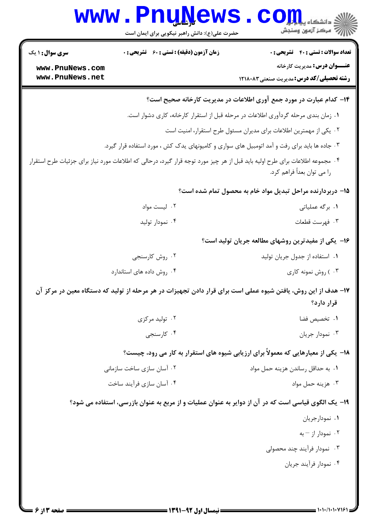| <b>تعداد سوالات : تستی : 40 - تشریحی : 0</b><br><b>زمان آزمون (دقیقه) : تستی : 60 ٪ تشریحی : 0</b><br><b>سری سوال : ۱ یک</b><br><b>عنـــوان درس:</b> مدیریت کارخانه<br>www.PnuNews.com<br>www.PnuNews.net<br><b>رشته تحصیلی/کد درس:</b> مدیریت صنعتی ۱۲۱۸۰۸۳<br>۱۴- کدام عبارت در مورد جمع آوری اطلاعات در مدیریت کارخانه صحیح است؟<br>۰۱ زمان بندی مرحله گردآوری اطلاعات در مرحله قبل از استقرار کارخانه، کاری دشوار است.<br>۰۲ یکی از مهمترین اطلاعات برای مدیران مسئول طرح استقرار، امنیت است<br>۰۳ جاده ها باید برای رفت و آمد اتومبیل های سواری و کامیونهای یدک کش ، مورد استفاده قرار گیرد.<br>۰۴ مجموعه اطلاعات برای طرح اولیه باید قبل از هر چیز مورد توجه قرار گیرد، درحالی که اطلاعات مورد نیاز برای جزئیات طرح استقرار<br>را می توان بعداً فراهم کرد.<br>۱۵– دربردارنده مراحل تبدیل مواد خام به محصول تمام شده است؟<br>۰۲ لیست مواد<br>۰۱ برگه عملیاتی<br>۰۴ نمودار تولید<br>۰۳ فهرست قطعات<br>۱۶- یکی از مفیدترین روشهای مطالعه جریان تولید است؟<br>۰۲ روش کارسنجی<br>۰۱ استفاده از جدول جریان تولید<br>۰۴ روش داده های استاندارد<br>۰۳) روش نمونه کاری<br>۱۷– هدف از این روش، یافتن شیوه عملی است برای قرار دادن تجهیزات در هر مرحله از تولید که دستگاه معین در مرکز آن<br>قرار دارد؟<br>۰۲ تولید مرکزی<br>۰۱ تخصیص فضا<br>۰۴ کارسنجي<br>۰۳ نمودار جريان<br>۱۸- یکی از معیارهایی که معمولاً برای ارزیابی شیوه های استقرار به کار می رود، چیست؟<br>۰۱ به حداقل رساندن هزينه حمل مواد<br>۰۲ آسان سازی ساخت سازمانی<br>۰۴ آسان سازی فرآیند ساخت<br>۰۳ هزينه حمل مواد<br>۱۹- یک الگوی قیاسی است که در آن از دوایر به عنوان عملیات و از مربع به عنوان بازرسی، استفاده می شود؟<br>۰۱ نمودارجریان<br>۰۲ نمودار از – به<br>۰۳ نمودار فرآیند چند محصولی<br>۰۴ نمودار فرآیند جریان | <b>www.PnuNews</b><br>حضرت علی(ع): دانش راهبر نیکویی برای ایمان است | الله دانشگاه پیام <mark>بر</mark><br>الله مرکز آزمون وسنجش |
|---------------------------------------------------------------------------------------------------------------------------------------------------------------------------------------------------------------------------------------------------------------------------------------------------------------------------------------------------------------------------------------------------------------------------------------------------------------------------------------------------------------------------------------------------------------------------------------------------------------------------------------------------------------------------------------------------------------------------------------------------------------------------------------------------------------------------------------------------------------------------------------------------------------------------------------------------------------------------------------------------------------------------------------------------------------------------------------------------------------------------------------------------------------------------------------------------------------------------------------------------------------------------------------------------------------------------------------------------------------------------------------------------------------------------------------------------------------------------------------------------------------------------------------------------------------------------------------------------------------------------------------------------------------------------------------|---------------------------------------------------------------------|------------------------------------------------------------|
|                                                                                                                                                                                                                                                                                                                                                                                                                                                                                                                                                                                                                                                                                                                                                                                                                                                                                                                                                                                                                                                                                                                                                                                                                                                                                                                                                                                                                                                                                                                                                                                                                                                                                       |                                                                     |                                                            |
|                                                                                                                                                                                                                                                                                                                                                                                                                                                                                                                                                                                                                                                                                                                                                                                                                                                                                                                                                                                                                                                                                                                                                                                                                                                                                                                                                                                                                                                                                                                                                                                                                                                                                       |                                                                     |                                                            |
|                                                                                                                                                                                                                                                                                                                                                                                                                                                                                                                                                                                                                                                                                                                                                                                                                                                                                                                                                                                                                                                                                                                                                                                                                                                                                                                                                                                                                                                                                                                                                                                                                                                                                       |                                                                     |                                                            |
|                                                                                                                                                                                                                                                                                                                                                                                                                                                                                                                                                                                                                                                                                                                                                                                                                                                                                                                                                                                                                                                                                                                                                                                                                                                                                                                                                                                                                                                                                                                                                                                                                                                                                       |                                                                     |                                                            |
|                                                                                                                                                                                                                                                                                                                                                                                                                                                                                                                                                                                                                                                                                                                                                                                                                                                                                                                                                                                                                                                                                                                                                                                                                                                                                                                                                                                                                                                                                                                                                                                                                                                                                       |                                                                     |                                                            |
|                                                                                                                                                                                                                                                                                                                                                                                                                                                                                                                                                                                                                                                                                                                                                                                                                                                                                                                                                                                                                                                                                                                                                                                                                                                                                                                                                                                                                                                                                                                                                                                                                                                                                       |                                                                     |                                                            |
|                                                                                                                                                                                                                                                                                                                                                                                                                                                                                                                                                                                                                                                                                                                                                                                                                                                                                                                                                                                                                                                                                                                                                                                                                                                                                                                                                                                                                                                                                                                                                                                                                                                                                       |                                                                     |                                                            |
|                                                                                                                                                                                                                                                                                                                                                                                                                                                                                                                                                                                                                                                                                                                                                                                                                                                                                                                                                                                                                                                                                                                                                                                                                                                                                                                                                                                                                                                                                                                                                                                                                                                                                       |                                                                     |                                                            |
|                                                                                                                                                                                                                                                                                                                                                                                                                                                                                                                                                                                                                                                                                                                                                                                                                                                                                                                                                                                                                                                                                                                                                                                                                                                                                                                                                                                                                                                                                                                                                                                                                                                                                       |                                                                     |                                                            |
|                                                                                                                                                                                                                                                                                                                                                                                                                                                                                                                                                                                                                                                                                                                                                                                                                                                                                                                                                                                                                                                                                                                                                                                                                                                                                                                                                                                                                                                                                                                                                                                                                                                                                       |                                                                     |                                                            |
|                                                                                                                                                                                                                                                                                                                                                                                                                                                                                                                                                                                                                                                                                                                                                                                                                                                                                                                                                                                                                                                                                                                                                                                                                                                                                                                                                                                                                                                                                                                                                                                                                                                                                       |                                                                     |                                                            |
|                                                                                                                                                                                                                                                                                                                                                                                                                                                                                                                                                                                                                                                                                                                                                                                                                                                                                                                                                                                                                                                                                                                                                                                                                                                                                                                                                                                                                                                                                                                                                                                                                                                                                       |                                                                     |                                                            |
|                                                                                                                                                                                                                                                                                                                                                                                                                                                                                                                                                                                                                                                                                                                                                                                                                                                                                                                                                                                                                                                                                                                                                                                                                                                                                                                                                                                                                                                                                                                                                                                                                                                                                       |                                                                     |                                                            |
|                                                                                                                                                                                                                                                                                                                                                                                                                                                                                                                                                                                                                                                                                                                                                                                                                                                                                                                                                                                                                                                                                                                                                                                                                                                                                                                                                                                                                                                                                                                                                                                                                                                                                       |                                                                     |                                                            |
|                                                                                                                                                                                                                                                                                                                                                                                                                                                                                                                                                                                                                                                                                                                                                                                                                                                                                                                                                                                                                                                                                                                                                                                                                                                                                                                                                                                                                                                                                                                                                                                                                                                                                       |                                                                     |                                                            |
|                                                                                                                                                                                                                                                                                                                                                                                                                                                                                                                                                                                                                                                                                                                                                                                                                                                                                                                                                                                                                                                                                                                                                                                                                                                                                                                                                                                                                                                                                                                                                                                                                                                                                       |                                                                     |                                                            |
|                                                                                                                                                                                                                                                                                                                                                                                                                                                                                                                                                                                                                                                                                                                                                                                                                                                                                                                                                                                                                                                                                                                                                                                                                                                                                                                                                                                                                                                                                                                                                                                                                                                                                       |                                                                     |                                                            |
|                                                                                                                                                                                                                                                                                                                                                                                                                                                                                                                                                                                                                                                                                                                                                                                                                                                                                                                                                                                                                                                                                                                                                                                                                                                                                                                                                                                                                                                                                                                                                                                                                                                                                       |                                                                     |                                                            |
|                                                                                                                                                                                                                                                                                                                                                                                                                                                                                                                                                                                                                                                                                                                                                                                                                                                                                                                                                                                                                                                                                                                                                                                                                                                                                                                                                                                                                                                                                                                                                                                                                                                                                       |                                                                     |                                                            |
|                                                                                                                                                                                                                                                                                                                                                                                                                                                                                                                                                                                                                                                                                                                                                                                                                                                                                                                                                                                                                                                                                                                                                                                                                                                                                                                                                                                                                                                                                                                                                                                                                                                                                       |                                                                     |                                                            |
|                                                                                                                                                                                                                                                                                                                                                                                                                                                                                                                                                                                                                                                                                                                                                                                                                                                                                                                                                                                                                                                                                                                                                                                                                                                                                                                                                                                                                                                                                                                                                                                                                                                                                       |                                                                     |                                                            |
|                                                                                                                                                                                                                                                                                                                                                                                                                                                                                                                                                                                                                                                                                                                                                                                                                                                                                                                                                                                                                                                                                                                                                                                                                                                                                                                                                                                                                                                                                                                                                                                                                                                                                       |                                                                     |                                                            |
|                                                                                                                                                                                                                                                                                                                                                                                                                                                                                                                                                                                                                                                                                                                                                                                                                                                                                                                                                                                                                                                                                                                                                                                                                                                                                                                                                                                                                                                                                                                                                                                                                                                                                       |                                                                     |                                                            |
|                                                                                                                                                                                                                                                                                                                                                                                                                                                                                                                                                                                                                                                                                                                                                                                                                                                                                                                                                                                                                                                                                                                                                                                                                                                                                                                                                                                                                                                                                                                                                                                                                                                                                       |                                                                     |                                                            |
|                                                                                                                                                                                                                                                                                                                                                                                                                                                                                                                                                                                                                                                                                                                                                                                                                                                                                                                                                                                                                                                                                                                                                                                                                                                                                                                                                                                                                                                                                                                                                                                                                                                                                       |                                                                     |                                                            |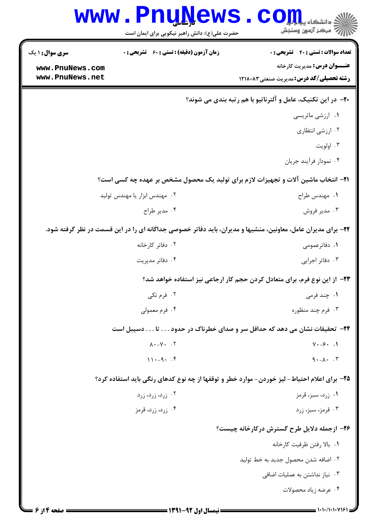|                        | <b>www.PnuNews</b><br>حضرت علی(ع): دانش راهبر نیکویی برای ایمان است | ء<br>۽ دانشڪاه پ <mark>يا م</mark><br>ر آمرڪز آزمون وسنڊش                                                    |
|------------------------|---------------------------------------------------------------------|--------------------------------------------------------------------------------------------------------------|
| <b>سری سوال : ۱ یک</b> | <b>زمان آزمون (دقیقه) : تستی : 60 ٪ تشریحی : 0</b>                  | تعداد سوالات : تستى : 40 تشريحي : 0                                                                          |
| www.PnuNews.com        |                                                                     | <b>عنـــوان درس:</b> مدیریت کارخانه                                                                          |
| www.PnuNews.net        |                                                                     | <b>رشته تحصیلی/کد درس: م</b> دیریت صنعتی1۲۱۸۰۸۳                                                              |
|                        |                                                                     | <b>۲۰</b> - در این تکنیک، عامل و آلترناتیو با هم رتبه بندی می شوند؟                                          |
|                        |                                                                     | ۰۱ ارزشی ماتریسی                                                                                             |
|                        |                                                                     | ۰۲ ارزشی انتظاری                                                                                             |
|                        |                                                                     | ۰۳ اولويت                                                                                                    |
|                        |                                                                     | ۰۴ نمودار فرأيند جريان                                                                                       |
|                        |                                                                     | <b>۲۱</b> - انتخاب ماشین آلات و تجهیزات لازم برای تولید یک محصول مشخص بر عهده چه کسی است؟                    |
|                        | ۰۲ مهندس ابزار یا مهندس تولید                                       | ٠١ مهندس طراح                                                                                                |
|                        | ۰۴ مدير طراح                                                        | ۰۳ مدیر فروش                                                                                                 |
|                        |                                                                     | ۲۲- برای مدیران عامل، معاونین، منشیها و مدیران، باید دفاتر خصوصی جداگانه ای را در این قسمت در نظر گرفته شود. |
|                        | ۰۲ دفاتر کارخانه                                                    | ۰۱ دفاترعمومی                                                                                                |
|                        | ۰۴ دفاتر مدیریت                                                     | ۰۳ دفاتر اجرایی                                                                                              |
|                        |                                                                     | ۲۳– از این نوع فرم، برای متعادل کردن حجم کار ارجاعی نیز استفاده خواهد شد؟                                    |
|                        | ۰۲ فرم تکی                                                          | ۱. چند فرمی                                                                                                  |
|                        | ۰۴ فرم معمولی                                                       | ۰۳ فرم چند منظوره                                                                                            |
|                        |                                                                     | ۲۴−  تحقیقات نشان می دهد که حداقل سر و صدای خطرناک در حدود تا دسیبل است                                      |
|                        | $\lambda \cdot -\gamma \cdot \cdot \cdot \tau$                      | $Y - 5$ . 1                                                                                                  |
|                        | $11 - 9 - 5$                                                        | $9 - \lambda - 7$                                                                                            |
|                        |                                                                     | ۲۵– برای اعلام احتیاط- لیز خوردن- موارد خطر و توقفها از چه نوع کدهای رنگی باید استفاده کرد؟                  |
|                        | ۰۲ زرد، زرد، زرد                                                    | ۰۱ زرد، سبز، قرمز                                                                                            |
|                        | ۰۴ زرد، زرد، قرمز                                                   | ۰۳ قرمز، سبز، زرد                                                                                            |
|                        |                                                                     | ۲۶- ازجمله دلایل طرح گسترش درکارخانه چیست؟                                                                   |
|                        |                                                                     | ٠١. بالا رفتن ظرفيت كارخانه                                                                                  |
|                        |                                                                     | ٢. اضافه شدن محصول جديد به خط توليد                                                                          |
|                        |                                                                     | ۰۳ نیاز نداشتن به عملیات اضافی                                                                               |
|                        |                                                                     | ۰۴ عرضه زياد محصولات                                                                                         |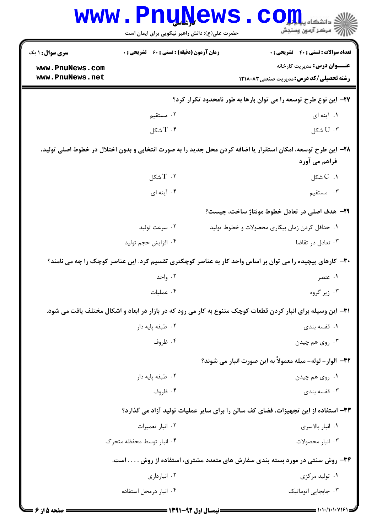| <b>سری سوال :</b> ۱ یک | <b>زمان آزمون (دقیقه) : تستی : 60 ٪ تشریحی : 0</b> | <b>تعداد سوالات : تستي : 40 - تشريحي : 0</b>                                                                 |
|------------------------|----------------------------------------------------|--------------------------------------------------------------------------------------------------------------|
| www.PnuNews.com        |                                                    | <b>عنـــوان درس:</b> مدیریت کارخانه                                                                          |
| www.PnuNews.net        |                                                    | <b>رشته تحصیلی/کد درس:</b> مدیریت صنعتی1۲۱۸۰۸۳                                                               |
|                        |                                                    | ۲۷- این نوع طرح توسعه را می توان بارها به طور نامحدود تکرار کرد؟                                             |
|                        | ۰۲ مستقیم                                          | ۱. آینه ای                                                                                                   |
|                        | $T \cdot$ شكل                                      | $U \cdot r$ شكل                                                                                              |
|                        |                                                    | ۲۸– این طرح توسعه، امکان استقرار یا اضافه کردن محل جدید را به صورت انتخابی و بدون اختلال در خطوط اصلی تولید، |
|                        |                                                    | فراهم می آورد                                                                                                |
|                        | $T$ . $T$ شكل                                      | $C \cdot C$ شكل                                                                                              |
|                        | ۰۴ آینه ای                                         | ۰۳ مستقیم                                                                                                    |
|                        |                                                    | ۲۹- هدف اصلی در تعادل خطوط مونتاژ ساخت، چیست؟                                                                |
|                        | ۰۲ سرعت تولید                                      | ٠١ حداقل كردن زمان بيكارى محصولات وخطوط توليد                                                                |
|                        | ۰۴ افزايش حجم توليد                                | ۰۳ تعادل در تقاضا                                                                                            |
|                        |                                                    | ۳۰- کارهای پیچیده را می توان بر اساس واحد کار به عناصر کوچکتری تقسیم کرد. این عناصر کوچک را چه می نامند؟     |
|                        | ۰۲ واحد                                            | ۰۱ عنصر                                                                                                      |
|                        | ۰۴ عملیات                                          | ۰۳ زیر گروه                                                                                                  |
|                        |                                                    | ۳۱– این وسیله برای انبار کردن قطعات کوچک متنوع به کار می رود که در بازار در ابعاد و اشکال مختلف یافت می شود. |
|                        | ۰۲ طبقه پایه دار                                   | ۰۱ قفسه بندی                                                                                                 |
|                        | ۰۴ ظروف                                            | ۰۳ روي هم چيدن                                                                                               |
|                        |                                                    | ٣٢– الوار – لوله– ميله معمولاً به اين صورت انبار مي شوند؟                                                    |
|                        | ٠٢ طبقه پايه دار                                   | ۰۱ روی هم چیدن                                                                                               |
|                        | ۰۴ ظروف                                            | ۰۳ قفسه بندی                                                                                                 |
|                        |                                                    | ۳۳- استفاده از این تجهیزات، فضای کف سالن را برای سایر عملیات تولید آزاد می گذارد؟                            |
|                        | ۰۲ انبار تعميرات                                   | ٠١ انبار بالاسرى                                                                                             |
|                        | ۰۴ انبار توسط محفظه متحرک                          | ۰۳ انبار محصولات                                                                                             |
|                        |                                                    | ۳۴- روش سنتی در مورد بسته بندی سفارش های متعدد مشتری، استفاده از روش است.                                    |
|                        | ۰۲ انبارداری                                       | ۰۱ تولید مرکزی                                                                                               |
|                        | ۰۴ انبار درمحل استفاده                             | ۰۳ جابجایی اتوماتیک                                                                                          |